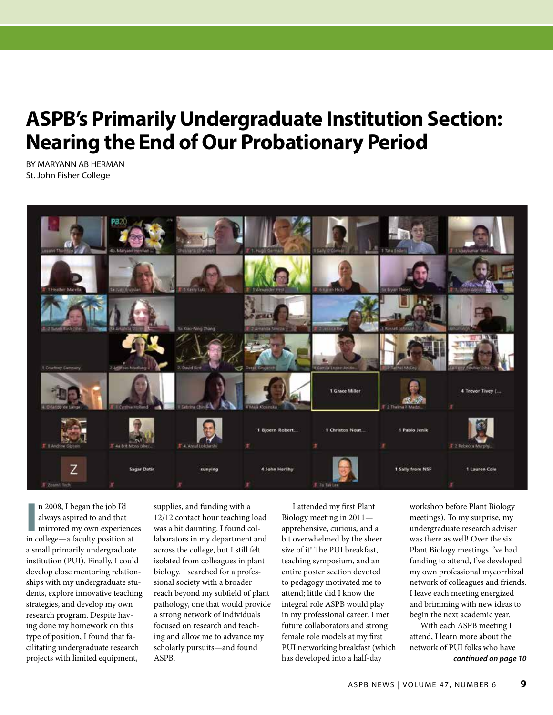## **ASPB's Primarily Undergraduate Institution Section: Nearing the End of Our Probationary Period**

BY MARYANN AB HERMAN St. John Fisher College



**I** n 2008, I began the job I'd always aspired to and that mirrored my own experience in college—a faculty position at n 2008, I began the job I'd always aspired to and that mirrored my own experiences a small primarily undergraduate institution (PUI). Finally, I could develop close mentoring relationships with my undergraduate students, explore innovative teaching strategies, and develop my own research program. Despite having done my homework on this type of position, I found that facilitating undergraduate research projects with limited equipment,

supplies, and funding with a 12/12 contact hour teaching load was a bit daunting. I found collaborators in my department and across the college, but I still felt isolated from colleagues in plant biology. I searched for a professional society with a broader reach beyond my subfield of plant pathology, one that would provide a strong network of individuals focused on research and teaching and allow me to advance my scholarly pursuits—and found ASPB.

I attended my first Plant Biology meeting in 2011 apprehensive, curious, and a bit overwhelmed by the sheer size of it! The PUI breakfast, teaching symposium, and an entire poster section devoted to pedagogy motivated me to attend; little did I know the integral role ASPB would play in my professional career. I met future collaborators and strong female role models at my first PUI networking breakfast (which has developed into a half-day

workshop before Plant Biology meetings). To my surprise, my undergraduate research adviser was there as well! Over the six Plant Biology meetings I've had funding to attend, I've developed my own professional mycorrhizal network of colleagues and friends. I leave each meeting energized and brimming with new ideas to begin the next academic year.

With each ASPB meeting I attend, I learn more about the network of PUI folks who have *continued on page 10*